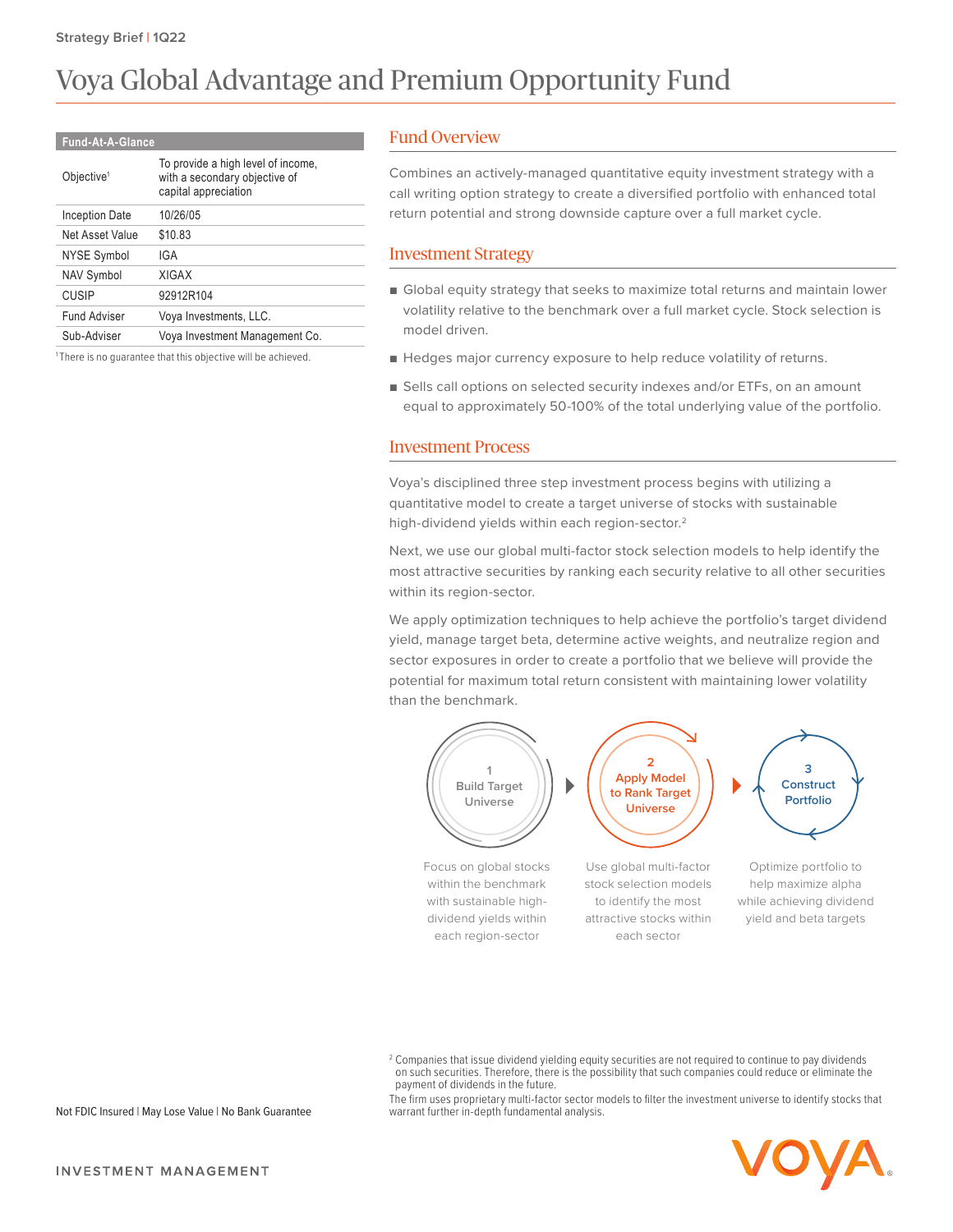# Voya Global Advantage and Premium Opportunity Fund

#### **Fund-At-A-Glance**

| Objective <sup>1</sup> | To provide a high level of income,<br>with a secondary objective of<br>capital appreciation |
|------------------------|---------------------------------------------------------------------------------------------|
| Inception Date         | 10/26/05                                                                                    |
| Net Asset Value        | \$10.83                                                                                     |
| NYSE Symbol            | IGA                                                                                         |
| <b>NAV Symbol</b>      | <b>XIGAX</b>                                                                                |
| CUSIP                  | 92912R104                                                                                   |
| <b>Fund Adviser</b>    | Voya Investments, LLC.                                                                      |
| Sub-Adviser            | Voya Investment Management Co.                                                              |
|                        |                                                                                             |

<sup>1</sup>There is no guarantee that this objective will be achieved.

#### Fund Overview

Combines an actively-managed quantitative equity investment strategy with a call writing option strategy to create a diversified portfolio with enhanced total return potential and strong downside capture over a full market cycle.

#### Investment Strategy

- Global equity strategy that seeks to maximize total returns and maintain lower volatility relative to the benchmark over a full market cycle. Stock selection is model driven.
- Hedges major currency exposure to help reduce volatility of returns.
- Sells call options on selected security indexes and/or ETFs, on an amount equal to approximately 50-100% of the total underlying value of the portfolio.

#### Investment Process

Voya's disciplined three step investment process begins with utilizing a quantitative model to create a target universe of stocks with sustainable high-dividend yields within each region-sector.2

Next, we use our global multi-factor stock selection models to help identify the most attractive securities by ranking each security relative to all other securities within its region-sector.

We apply optimization techniques to help achieve the portfolio's target dividend yield, manage target beta, determine active weights, and neutralize region and sector exposures in order to create a portfolio that we believe will provide the potential for maximum total return consistent with maintaining lower volatility than the benchmark.



The firm uses proprietary multi-factor sector models to filter the investment universe to identify stocks that warrant further in-depth fundamental analysis.



Not FDIC Insured | May Lose Value | No Bank Guarantee

 $^2$  Companies that issue dividend yielding equity securities are not required to continue to pay dividends on such securities. Therefore, there is the possibility that such companies could reduce or eliminate the payment of dividends in the future.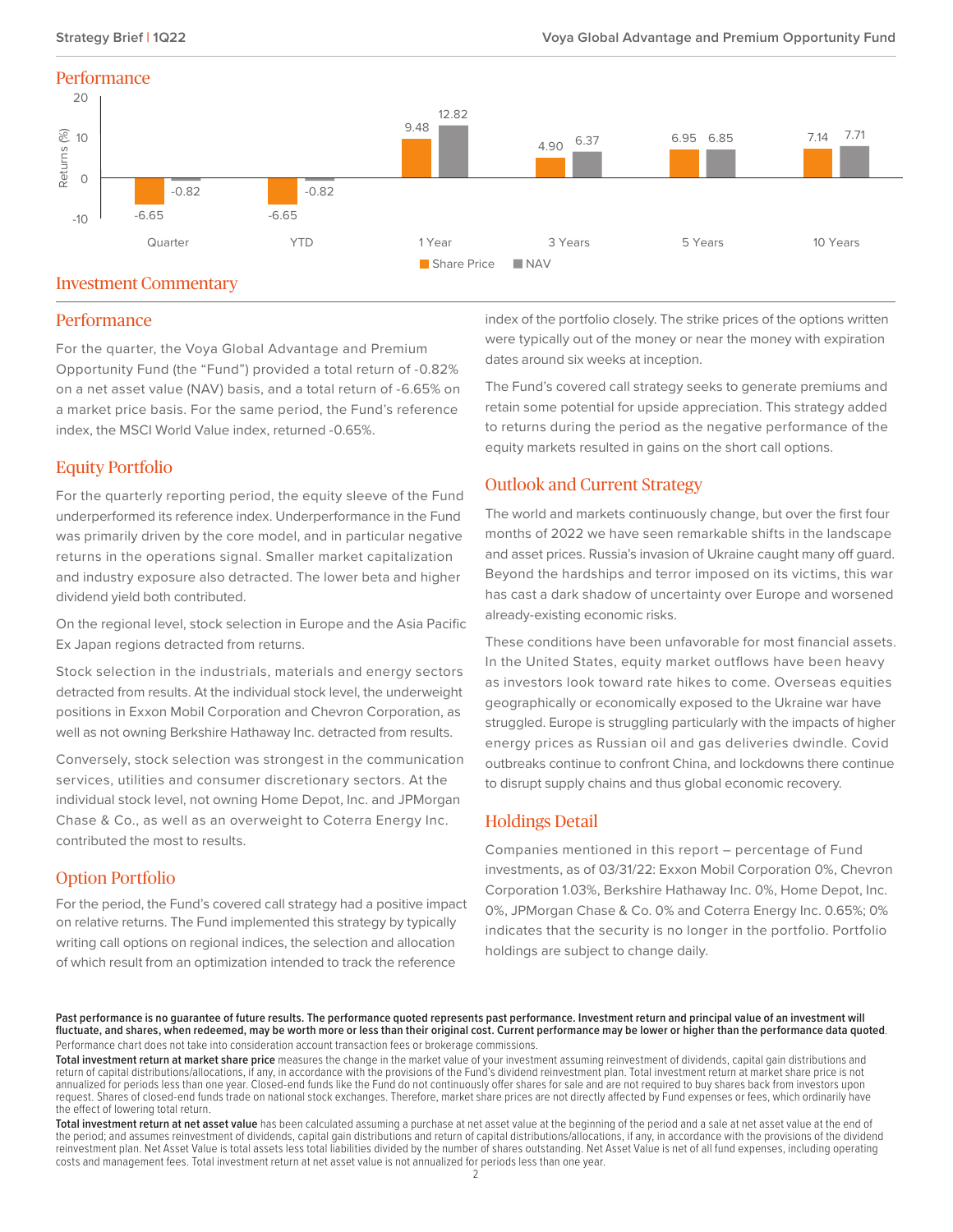#### **Performance**



#### Investment Commentary

#### **Performance**

For the quarter, the Voya Global Advantage and Premium Opportunity Fund (the "Fund") provided a total return of -0.82% on a net asset value (NAV) basis, and a total return of -6.65% on a market price basis. For the same period, the Fund's reference index, the MSCI World Value index, returned -0.65%.

#### Equity Portfolio

For the quarterly reporting period, the equity sleeve of the Fund underperformed its reference index. Underperformance in the Fund was primarily driven by the core model, and in particular negative returns in the operations signal. Smaller market capitalization and industry exposure also detracted. The lower beta and higher dividend yield both contributed.

On the regional level, stock selection in Europe and the Asia Pacific Ex Japan regions detracted from returns.

Stock selection in the industrials, materials and energy sectors detracted from results. At the individual stock level, the underweight positions in Exxon Mobil Corporation and Chevron Corporation, as well as not owning Berkshire Hathaway Inc. detracted from results.

Conversely, stock selection was strongest in the communication services, utilities and consumer discretionary sectors. At the individual stock level, not owning Home Depot, Inc. and JPMorgan Chase & Co., as well as an overweight to Coterra Energy Inc. contributed the most to results.

## Option Portfolio

For the period, the Fund's covered call strategy had a positive impact on relative returns. The Fund implemented this strategy by typically writing call options on regional indices, the selection and allocation of which result from an optimization intended to track the reference

index of the portfolio closely. The strike prices of the options written were typically out of the money or near the money with expiration dates around six weeks at inception.

The Fund's covered call strategy seeks to generate premiums and retain some potential for upside appreciation. This strategy added to returns during the period as the negative performance of the equity markets resulted in gains on the short call options.

#### Outlook and Current Strategy

The world and markets continuously change, but over the first four months of 2022 we have seen remarkable shifts in the landscape and asset prices. Russia's invasion of Ukraine caught many off guard. Beyond the hardships and terror imposed on its victims, this war has cast a dark shadow of uncertainty over Europe and worsened already-existing economic risks.

These conditions have been unfavorable for most financial assets. In the United States, equity market outflows have been heavy as investors look toward rate hikes to come. Overseas equities geographically or economically exposed to the Ukraine war have struggled. Europe is struggling particularly with the impacts of higher energy prices as Russian oil and gas deliveries dwindle. Covid outbreaks continue to confront China, and lockdowns there continue to disrupt supply chains and thus global economic recovery.

## Holdings Detail

Companies mentioned in this report – percentage of Fund investments, as of 03/31/22: Exxon Mobil Corporation 0%, Chevron Corporation 1.03%, Berkshire Hathaway Inc. 0%, Home Depot, Inc. 0%, JPMorgan Chase & Co. 0% and Coterra Energy Inc. 0.65%; 0% indicates that the security is no longer in the portfolio. Portfolio holdings are subject to change daily.

Past performance is no guarantee of future results. The performance quoted represents past performance. Investment return and principal value of an investment will **fluctuate, and shares, when redeemed, may be worth more or less than their original cost. Current performance may be lower or higher than the performance data quoted**. Performance chart does not take into consideration account transaction fees or brokerage commissions.

**Total investment return at market share price** measures the change in the market value of your investment assuming reinvestment of dividends, capital gain distributions and return of capital distributions/allocations, if any, in accordance with the provisions of the Fund's dividend reinvestment plan. Total investment return at market share price is not annualized for periods less than one year. Closed-end funds like the Fund do not continuously offer shares for sale and are not required to buy shares back from investors upon request. Shares of closed-end funds trade on national stock exchanges. Therefore, market share prices are not directly affected by Fund expenses or fees, which ordinarily have the effect of lowering total return.

**Total investment return at net asset value** has been calculated assuming a purchase at net asset value at the beginning of the period and a sale at net asset value at the end of the period; and assumes reinvestment of dividends, capital gain distributions and return of capital distributions/allocations, if any, in accordance with the provisions of the dividend reinvestment plan. Net Asset Value is total assets less total liabilities divided by the number of shares outstanding. Net Asset Value is net of all fund expenses, including operating costs and management fees. Total investment return at net asset value is not annualized for periods less than one year.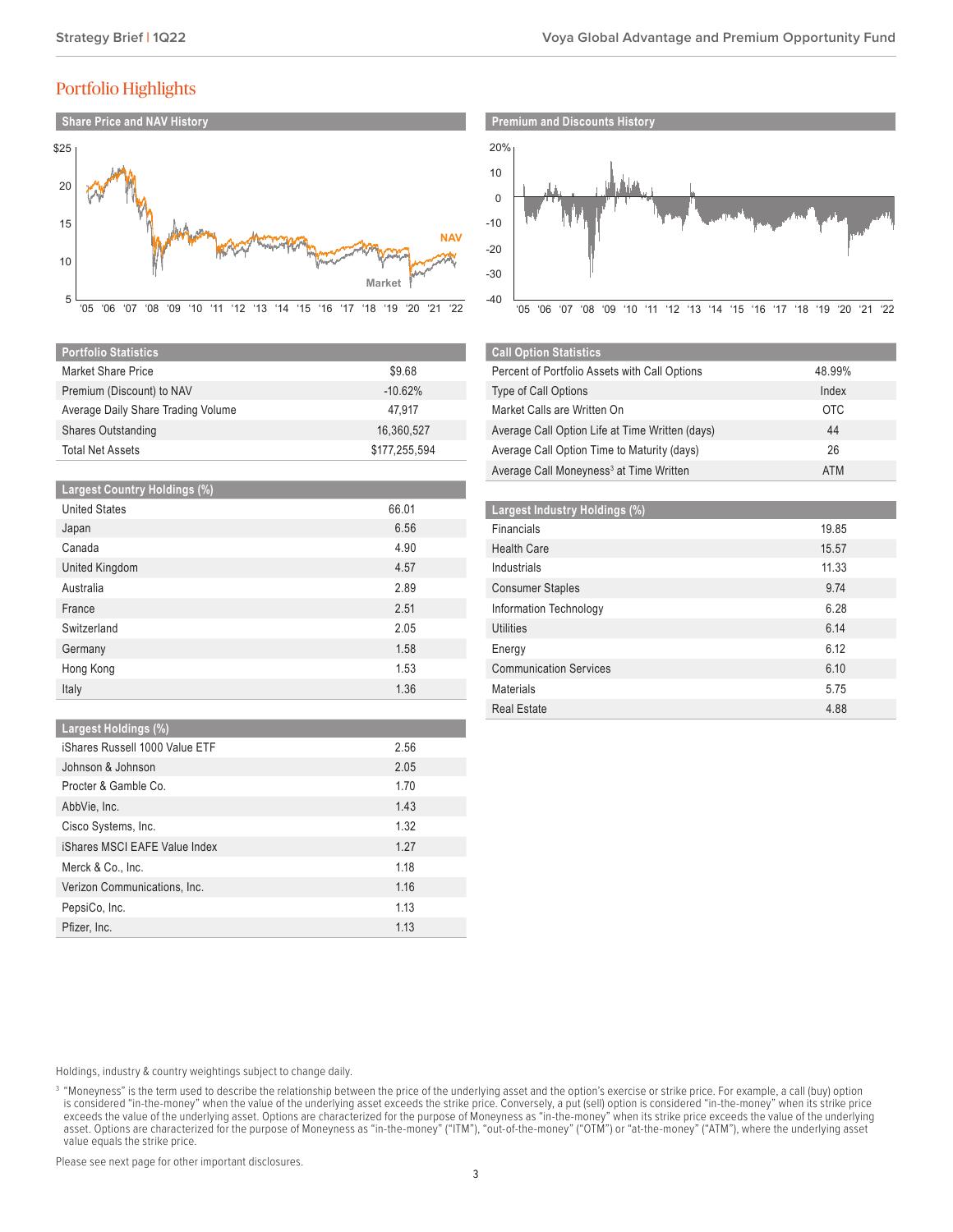## Portfolio Highlights



| <b>Portfolio Statistics</b>        |               |
|------------------------------------|---------------|
| Market Share Price                 | \$9.68        |
| Premium (Discount) to NAV          | $-10.62%$     |
| Average Daily Share Trading Volume | 47.917        |
| <b>Shares Outstanding</b>          | 16,360,527    |
| <b>Total Net Assets</b>            | \$177,255,594 |

| <b>Largest Country Holdings (%)</b> |       |
|-------------------------------------|-------|
| <b>United States</b>                | 66.01 |
| Japan                               | 6.56  |
| Canada                              | 4.90  |
| United Kingdom                      | 4.57  |
| Australia                           | 2.89  |
| France                              | 2.51  |
| Switzerland                         | 2.05  |
| Germany                             | 1.58  |
| Hong Kong                           | 1.53  |
| Italy                               | 1.36  |

#### **Largest Holdings (%)**

| iShares Russell 1000 Value ETF | 2.56 |
|--------------------------------|------|
| Johnson & Johnson              | 2.05 |
| Procter & Gamble Co.           | 1.70 |
| AbbVie, Inc.                   | 1.43 |
| Cisco Systems, Inc.            | 1.32 |
| iShares MSCI EAFE Value Index  | 1.27 |
| Merck & Co., Inc.              | 1.18 |
| Verizon Communications, Inc.   | 1.16 |
| PepsiCo, Inc.                  | 1.13 |
| Pfizer, Inc.                   | 1.13 |
|                                |      |



| <b>Call Option Statistics</b>                       |            |
|-----------------------------------------------------|------------|
| Percent of Portfolio Assets with Call Options       | 48.99%     |
| Type of Call Options                                | Index      |
| Market Calls are Written On                         | <b>OTC</b> |
| Average Call Option Life at Time Written (days)     | 44         |
| Average Call Option Time to Maturity (days)         | 26         |
| Average Call Moneyness <sup>3</sup> at Time Written | <b>ATM</b> |

| Largest Industry Holdings (%) |       |
|-------------------------------|-------|
| Financials                    | 19.85 |
| <b>Health Care</b>            | 15.57 |
| Industrials                   | 11.33 |
| <b>Consumer Staples</b>       | 9.74  |
| Information Technology        | 6.28  |
| <b>Utilities</b>              | 6.14  |
| Energy                        | 6.12  |
| <b>Communication Services</b> | 6.10  |
| <b>Materials</b>              | 5.75  |
| <b>Real Estate</b>            | 4.88  |

Holdings, industry & country weightings subject to change daily.

Please see next page for other important disclosures.

<sup>&</sup>lt;sup>3</sup> "Moneyness" is the term used to describe the relationship between the price of the underlying asset and the option's exercise or strike price. For example, a call (buy) option is considered "in-the-money" when the value of the underlying asset exceeds the strike price. Conversely, a put (sell) option is considered "in-the-money" when its strike price exceeds the value of the underlying asset. Options are characterized for the purpose of Moneyness as "in-the-money" when its strike price exceeds the value of the underlying asset. Options are characterized for the purpose of Moneyness as "in-the-money" ("ITM"), "out-of-the-money" ("OTM") or "at-the-money" ("ATM"), where the underlying asset value equals the strike price.